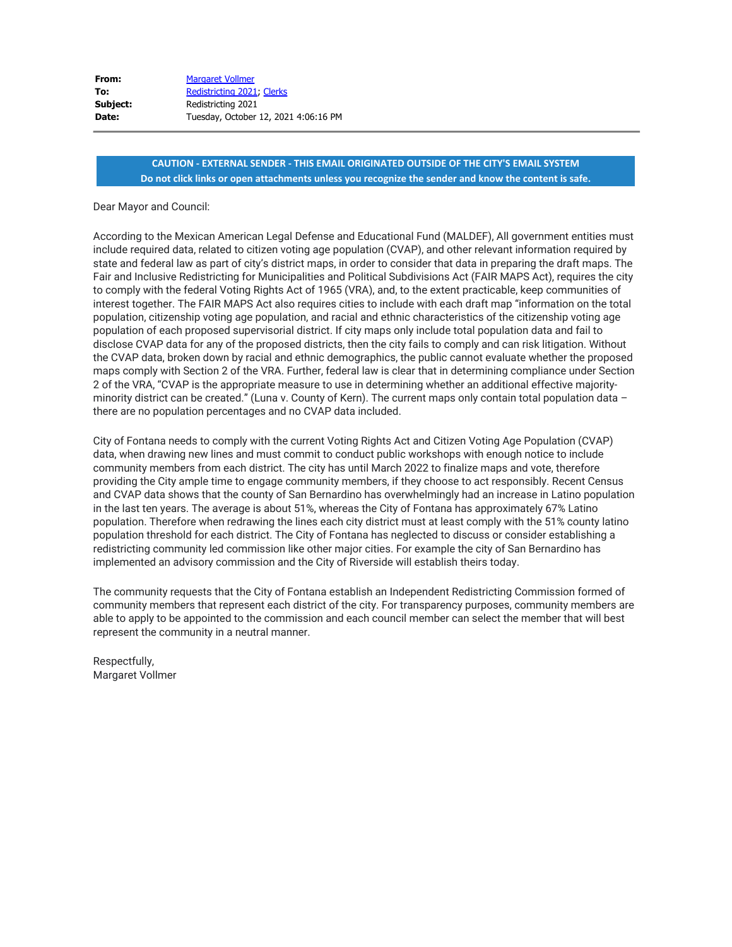| <b>Margaret Vollmer</b>              |
|--------------------------------------|
| Redistricting 2021, Clerks           |
| Redistricting 2021                   |
| Tuesday, October 12, 2021 4:06:16 PM |
|                                      |

#### Dear Mayor and Council:

According to the Mexican American Legal Defense and Educational Fund (MALDEF), All government entities must include required data, related to citizen voting age population (CVAP), and other relevant information required by state and federal law as part of city's district maps, in order to consider that data in preparing the draft maps. The Fair and Inclusive Redistricting for Municipalities and Political Subdivisions Act (FAIR MAPS Act), requires the city to comply with the federal Voting Rights Act of 1965 (VRA), and, to the extent practicable, keep communities of interest together. The FAIR MAPS Act also requires cities to include with each draft map "information on the total population, citizenship voting age population, and racial and ethnic characteristics of the citizenship voting age population of each proposed supervisorial district. If city maps only include total population data and fail to disclose CVAP data for any of the proposed districts, then the city fails to comply and can risk litigation. Without the CVAP data, broken down by racial and ethnic demographics, the public cannot evaluate whether the proposed maps comply with Section 2 of the VRA. Further, federal law is clear that in determining compliance under Section 2 of the VRA, "CVAP is the appropriate measure to use in determining whether an additional effective majorityminority district can be created." (Luna v. County of Kern). The current maps only contain total population data – there are no population percentages and no CVAP data included.

City of Fontana needs to comply with the current Voting Rights Act and Citizen Voting Age Population (CVAP) data, when drawing new lines and must commit to conduct public workshops with enough notice to include community members from each district. The city has until March 2022 to finalize maps and vote, therefore providing the City ample time to engage community members, if they choose to act responsibly. Recent Census and CVAP data shows that the county of San Bernardino has overwhelmingly had an increase in Latino population in the last ten years. The average is about 51%, whereas the City of Fontana has approximately 67% Latino population. Therefore when redrawing the lines each city district must at least comply with the 51% county latino population threshold for each district. The City of Fontana has neglected to discuss or consider establishing a redistricting community led commission like other major cities. For example the city of San Bernardino has implemented an advisory commission and the City of Riverside will establish theirs today.

The community requests that the City of Fontana establish an Independent Redistricting Commission formed of community members that represent each district of the city. For transparency purposes, community members are able to apply to be appointed to the commission and each council member can select the member that will best represent the community in a neutral manner.

Respectfully, Margaret Vollmer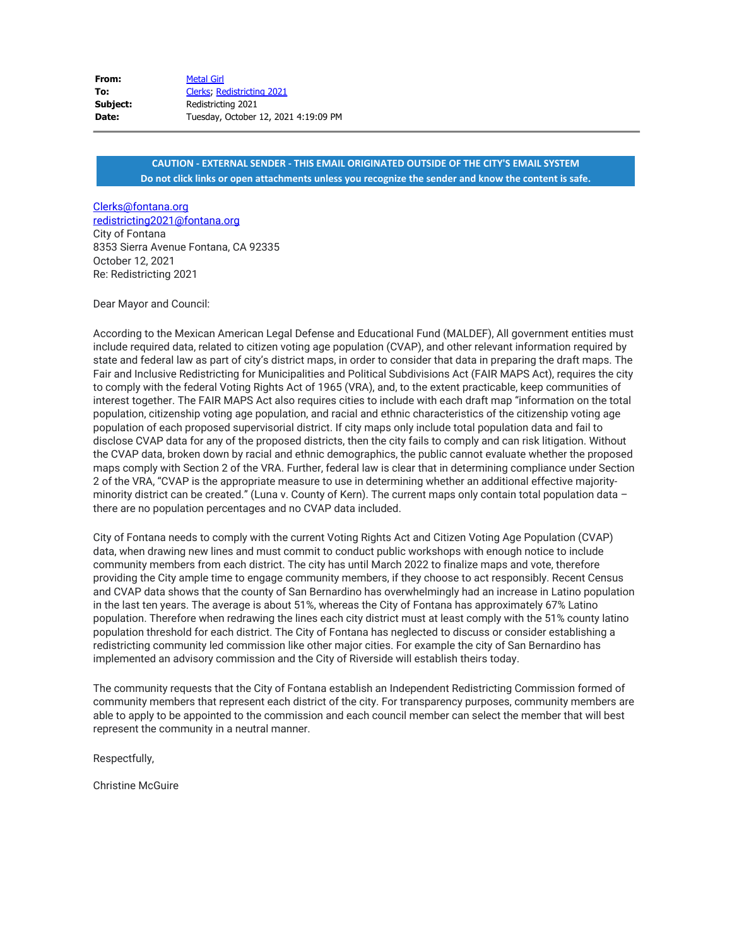| From:    | <b>Metal Girl</b>                    |
|----------|--------------------------------------|
| To:      | Clerks, Redistricting 2021           |
| Subject: | Redistricting 2021                   |
| Date:    | Tuesday, October 12, 2021 4:19:09 PM |

#### [Clerks@fontana.org](mailto:Clerks@fontana.org) [redistricting2021@fontana.org](mailto:redistricting2021@fontana.org)

City of Fontana 8353 Sierra Avenue Fontana, CA 92335 October 12, 2021 Re: Redistricting 2021

Dear Mayor and Council:

According to the Mexican American Legal Defense and Educational Fund (MALDEF), All government entities must include required data, related to citizen voting age population (CVAP), and other relevant information required by state and federal law as part of city's district maps, in order to consider that data in preparing the draft maps. The Fair and Inclusive Redistricting for Municipalities and Political Subdivisions Act (FAIR MAPS Act), requires the city to comply with the federal Voting Rights Act of 1965 (VRA), and, to the extent practicable, keep communities of interest together. The FAIR MAPS Act also requires cities to include with each draft map "information on the total population, citizenship voting age population, and racial and ethnic characteristics of the citizenship voting age population of each proposed supervisorial district. If city maps only include total population data and fail to disclose CVAP data for any of the proposed districts, then the city fails to comply and can risk litigation. Without the CVAP data, broken down by racial and ethnic demographics, the public cannot evaluate whether the proposed maps comply with Section 2 of the VRA. Further, federal law is clear that in determining compliance under Section 2 of the VRA, "CVAP is the appropriate measure to use in determining whether an additional effective majorityminority district can be created." (Luna v. County of Kern). The current maps only contain total population data – there are no population percentages and no CVAP data included.

City of Fontana needs to comply with the current Voting Rights Act and Citizen Voting Age Population (CVAP) data, when drawing new lines and must commit to conduct public workshops with enough notice to include community members from each district. The city has until March 2022 to finalize maps and vote, therefore providing the City ample time to engage community members, if they choose to act responsibly. Recent Census and CVAP data shows that the county of San Bernardino has overwhelmingly had an increase in Latino population in the last ten years. The average is about 51%, whereas the City of Fontana has approximately 67% Latino population. Therefore when redrawing the lines each city district must at least comply with the 51% county latino population threshold for each district. The City of Fontana has neglected to discuss or consider establishing a redistricting community led commission like other major cities. For example the city of San Bernardino has implemented an advisory commission and the City of Riverside will establish theirs today.

The community requests that the City of Fontana establish an Independent Redistricting Commission formed of community members that represent each district of the city. For transparency purposes, community members are able to apply to be appointed to the commission and each council member can select the member that will best represent the community in a neutral manner.

Respectfully,

Christine McGuire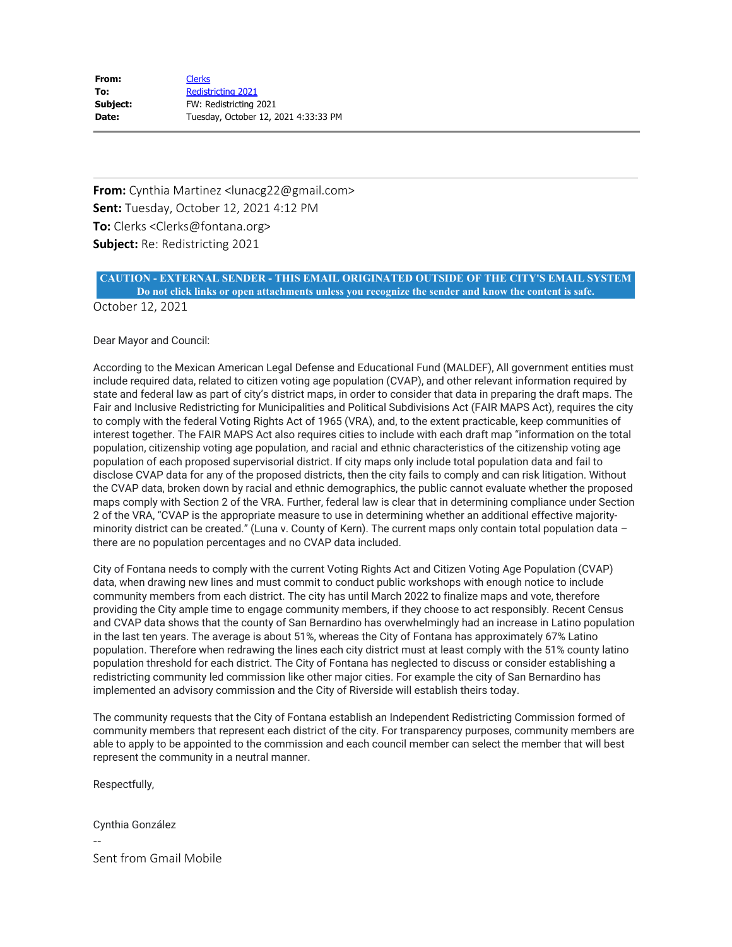| From:    | <b>Clerks</b>                        |
|----------|--------------------------------------|
| To:      | <b>Redistricting 2021</b>            |
| Subject: | FW: Redistricting 2021               |
| Date:    | Tuesday, October 12, 2021 4:33:33 PM |

**From:** Cynthia Martinez <lunacg22@gmail.com> **Sent:** Tuesday, October 12, 2021 4:12 PM **To:** Clerks <Clerks@fontana.org> **Subject:** Re: Redistricting 2021

# **CAUTION - EXTERNAL SENDER - THIS EMAIL ORIGINATED OUTSIDE OF THE CITY'S EMAIL SYSTEM Do not click links or open attachments unless you recognize the sender and know the content is safe.**

October 12, 2021

Dear Mayor and Council:

According to the Mexican American Legal Defense and Educational Fund (MALDEF), All government entities must include required data, related to citizen voting age population (CVAP), and other relevant information required by state and federal law as part of city's district maps, in order to consider that data in preparing the draft maps. The Fair and Inclusive Redistricting for Municipalities and Political Subdivisions Act (FAIR MAPS Act), requires the city to comply with the federal Voting Rights Act of 1965 (VRA), and, to the extent practicable, keep communities of interest together. The FAIR MAPS Act also requires cities to include with each draft map "information on the total population, citizenship voting age population, and racial and ethnic characteristics of the citizenship voting age population of each proposed supervisorial district. If city maps only include total population data and fail to disclose CVAP data for any of the proposed districts, then the city fails to comply and can risk litigation. Without the CVAP data, broken down by racial and ethnic demographics, the public cannot evaluate whether the proposed maps comply with Section 2 of the VRA. Further, federal law is clear that in determining compliance under Section 2 of the VRA, "CVAP is the appropriate measure to use in determining whether an additional effective majorityminority district can be created." (Luna v. County of Kern). The current maps only contain total population data – there are no population percentages and no CVAP data included.

City of Fontana needs to comply with the current Voting Rights Act and Citizen Voting Age Population (CVAP) data, when drawing new lines and must commit to conduct public workshops with enough notice to include community members from each district. The city has until March 2022 to finalize maps and vote, therefore providing the City ample time to engage community members, if they choose to act responsibly. Recent Census and CVAP data shows that the county of San Bernardino has overwhelmingly had an increase in Latino population in the last ten years. The average is about 51%, whereas the City of Fontana has approximately 67% Latino population. Therefore when redrawing the lines each city district must at least comply with the 51% county latino population threshold for each district. The City of Fontana has neglected to discuss or consider establishing a redistricting community led commission like other major cities. For example the city of San Bernardino has implemented an advisory commission and the City of Riverside will establish theirs today.

The community requests that the City of Fontana establish an Independent Redistricting Commission formed of community members that represent each district of the city. For transparency purposes, community members are able to apply to be appointed to the commission and each council member can select the member that will best represent the community in a neutral manner.

Respectfully,

Cynthia González

-- Sent from Gmail Mobile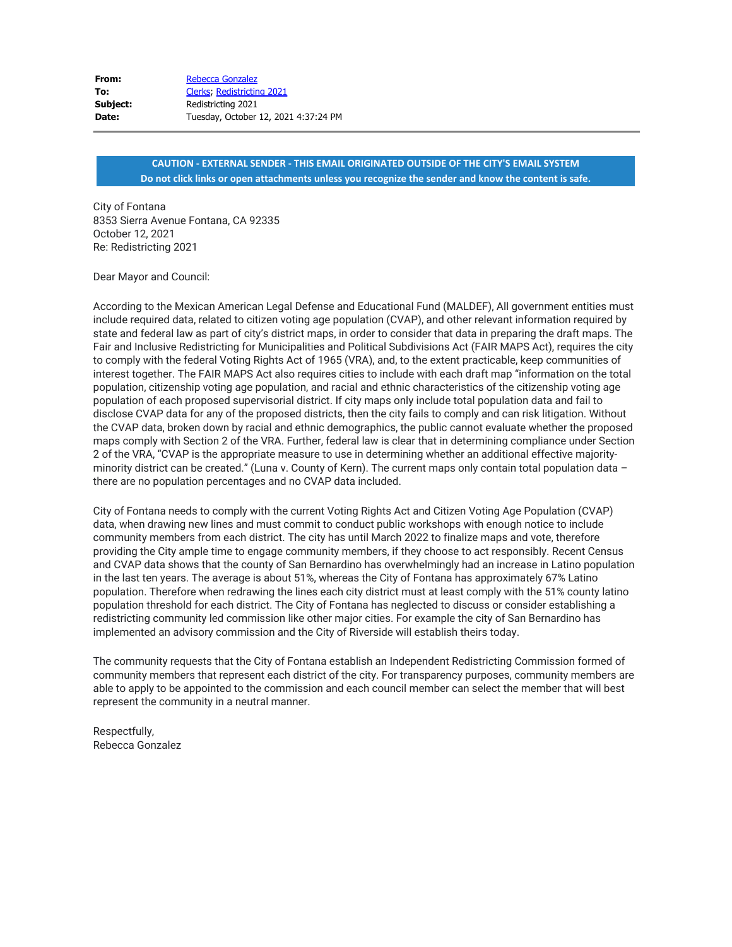| From:    | Rebecca Gonzalez                     |
|----------|--------------------------------------|
| To:      | Clerks, Redistricting 2021           |
| Subject: | Redistricting 2021                   |
| Date:    | Tuesday, October 12, 2021 4:37:24 PM |

City of Fontana 8353 Sierra Avenue Fontana, CA 92335 October 12, 2021 Re: Redistricting 2021

Dear Mayor and Council:

According to the Mexican American Legal Defense and Educational Fund (MALDEF), All government entities must include required data, related to citizen voting age population (CVAP), and other relevant information required by state and federal law as part of city's district maps, in order to consider that data in preparing the draft maps. The Fair and Inclusive Redistricting for Municipalities and Political Subdivisions Act (FAIR MAPS Act), requires the city to comply with the federal Voting Rights Act of 1965 (VRA), and, to the extent practicable, keep communities of interest together. The FAIR MAPS Act also requires cities to include with each draft map "information on the total population, citizenship voting age population, and racial and ethnic characteristics of the citizenship voting age population of each proposed supervisorial district. If city maps only include total population data and fail to disclose CVAP data for any of the proposed districts, then the city fails to comply and can risk litigation. Without the CVAP data, broken down by racial and ethnic demographics, the public cannot evaluate whether the proposed maps comply with Section 2 of the VRA. Further, federal law is clear that in determining compliance under Section 2 of the VRA, "CVAP is the appropriate measure to use in determining whether an additional effective majorityminority district can be created." (Luna v. County of Kern). The current maps only contain total population data – there are no population percentages and no CVAP data included.

City of Fontana needs to comply with the current Voting Rights Act and Citizen Voting Age Population (CVAP) data, when drawing new lines and must commit to conduct public workshops with enough notice to include community members from each district. The city has until March 2022 to finalize maps and vote, therefore providing the City ample time to engage community members, if they choose to act responsibly. Recent Census and CVAP data shows that the county of San Bernardino has overwhelmingly had an increase in Latino population in the last ten years. The average is about 51%, whereas the City of Fontana has approximately 67% Latino population. Therefore when redrawing the lines each city district must at least comply with the 51% county latino population threshold for each district. The City of Fontana has neglected to discuss or consider establishing a redistricting community led commission like other major cities. For example the city of San Bernardino has implemented an advisory commission and the City of Riverside will establish theirs today.

The community requests that the City of Fontana establish an Independent Redistricting Commission formed of community members that represent each district of the city. For transparency purposes, community members are able to apply to be appointed to the commission and each council member can select the member that will best represent the community in a neutral manner.

Respectfully, Rebecca Gonzalez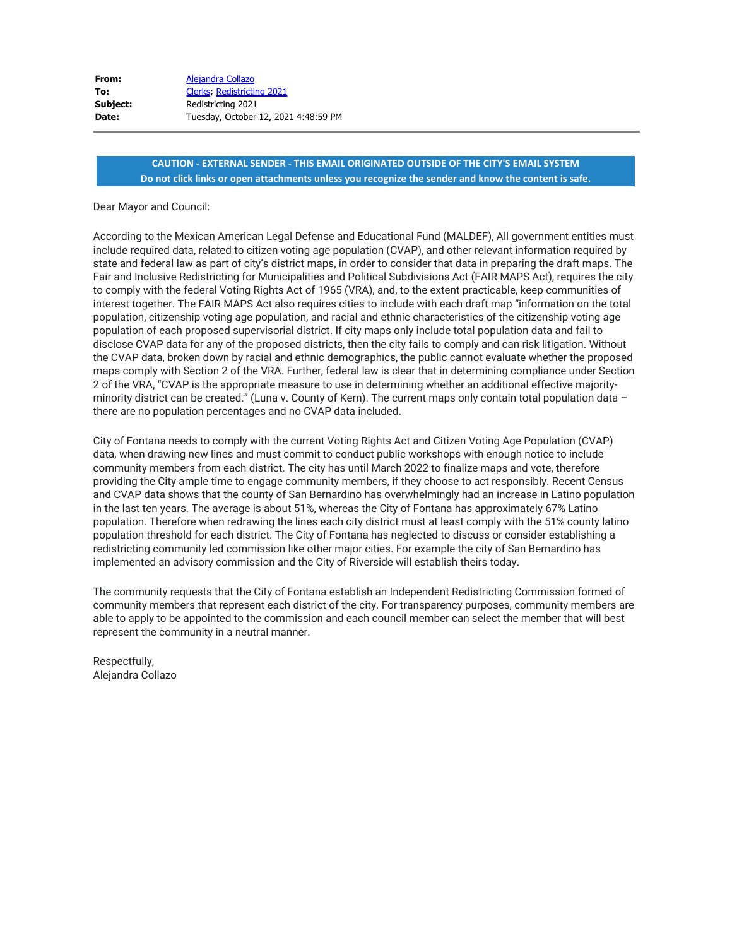| Alejandra Collazo                    |
|--------------------------------------|
| Clerks, Redistricting 2021           |
| Redistricting 2021                   |
| Tuesday, October 12, 2021 4:48:59 PM |
|                                      |

#### Dear Mayor and Council:

According to the Mexican American Legal Defense and Educational Fund (MALDEF), All government entities must include required data, related to citizen voting age population (CVAP), and other relevant information required by state and federal law as part of city's district maps, in order to consider that data in preparing the draft maps. The Fair and Inclusive Redistricting for Municipalities and Political Subdivisions Act (FAIR MAPS Act), requires the city to comply with the federal Voting Rights Act of 1965 (VRA), and, to the extent practicable, keep communities of interest together. The FAIR MAPS Act also requires cities to include with each draft map "information on the total population, citizenship voting age population, and racial and ethnic characteristics of the citizenship voting age population of each proposed supervisorial district. If city maps only include total population data and fail to disclose CVAP data for any of the proposed districts, then the city fails to comply and can risk litigation. Without the CVAP data, broken down by racial and ethnic demographics, the public cannot evaluate whether the proposed maps comply with Section 2 of the VRA. Further, federal law is clear that in determining compliance under Section 2 of the VRA, "CVAP is the appropriate measure to use in determining whether an additional effective majorityminority district can be created." (Luna v. County of Kern). The current maps only contain total population data – there are no population percentages and no CVAP data included.

City of Fontana needs to comply with the current Voting Rights Act and Citizen Voting Age Population (CVAP) data, when drawing new lines and must commit to conduct public workshops with enough notice to include community members from each district. The city has until March 2022 to finalize maps and vote, therefore providing the City ample time to engage community members, if they choose to act responsibly. Recent Census and CVAP data shows that the county of San Bernardino has overwhelmingly had an increase in Latino population in the last ten years. The average is about 51%, whereas the City of Fontana has approximately 67% Latino population. Therefore when redrawing the lines each city district must at least comply with the 51% county latino population threshold for each district. The City of Fontana has neglected to discuss or consider establishing a redistricting community led commission like other major cities. For example the city of San Bernardino has implemented an advisory commission and the City of Riverside will establish theirs today.

The community requests that the City of Fontana establish an Independent Redistricting Commission formed of community members that represent each district of the city. For transparency purposes, community members are able to apply to be appointed to the commission and each council member can select the member that will best represent the community in a neutral manner.

Respectfully, Alejandra Collazo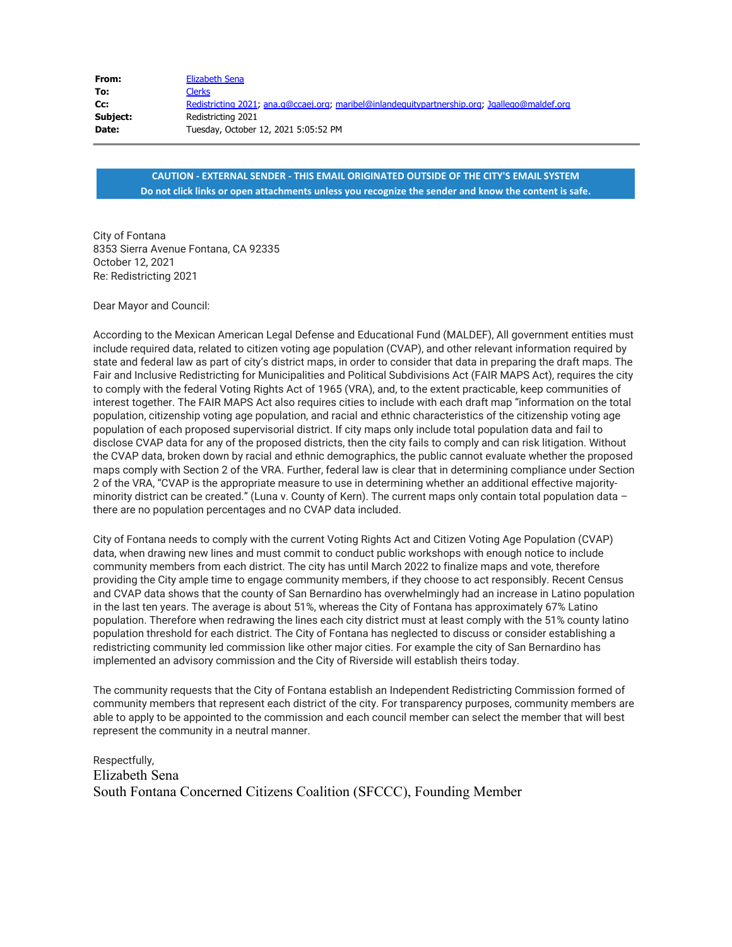| From:    | Elizabeth Sena                                                                                |
|----------|-----------------------------------------------------------------------------------------------|
| To:      | Clerks                                                                                        |
| Cc:      | Redistricting 2021; ana.q@ccaej.org; maribel@inlandequitypartnership.org; Jgallego@maldef.org |
| Subject: | Redistricting 2021                                                                            |
| Date:    | Tuesday, October 12, 2021 5:05:52 PM                                                          |

City of Fontana 8353 Sierra Avenue Fontana, CA 92335 October 12, 2021 Re: Redistricting 2021

Dear Mayor and Council:

According to the Mexican American Legal Defense and Educational Fund (MALDEF), All government entities must include required data, related to citizen voting age population (CVAP), and other relevant information required by state and federal law as part of city's district maps, in order to consider that data in preparing the draft maps. The Fair and Inclusive Redistricting for Municipalities and Political Subdivisions Act (FAIR MAPS Act), requires the city to comply with the federal Voting Rights Act of 1965 (VRA), and, to the extent practicable, keep communities of interest together. The FAIR MAPS Act also requires cities to include with each draft map "information on the total population, citizenship voting age population, and racial and ethnic characteristics of the citizenship voting age population of each proposed supervisorial district. If city maps only include total population data and fail to disclose CVAP data for any of the proposed districts, then the city fails to comply and can risk litigation. Without the CVAP data, broken down by racial and ethnic demographics, the public cannot evaluate whether the proposed maps comply with Section 2 of the VRA. Further, federal law is clear that in determining compliance under Section 2 of the VRA, "CVAP is the appropriate measure to use in determining whether an additional effective majorityminority district can be created." (Luna v. County of Kern). The current maps only contain total population data – there are no population percentages and no CVAP data included.

City of Fontana needs to comply with the current Voting Rights Act and Citizen Voting Age Population (CVAP) data, when drawing new lines and must commit to conduct public workshops with enough notice to include community members from each district. The city has until March 2022 to finalize maps and vote, therefore providing the City ample time to engage community members, if they choose to act responsibly. Recent Census and CVAP data shows that the county of San Bernardino has overwhelmingly had an increase in Latino population in the last ten years. The average is about 51%, whereas the City of Fontana has approximately 67% Latino population. Therefore when redrawing the lines each city district must at least comply with the 51% county latino population threshold for each district. The City of Fontana has neglected to discuss or consider establishing a redistricting community led commission like other major cities. For example the city of San Bernardino has implemented an advisory commission and the City of Riverside will establish theirs today.

The community requests that the City of Fontana establish an Independent Redistricting Commission formed of community members that represent each district of the city. For transparency purposes, community members are able to apply to be appointed to the commission and each council member can select the member that will best represent the community in a neutral manner.

Respectfully, Elizabeth Sena South Fontana Concerned Citizens Coalition (SFCCC), Founding Member